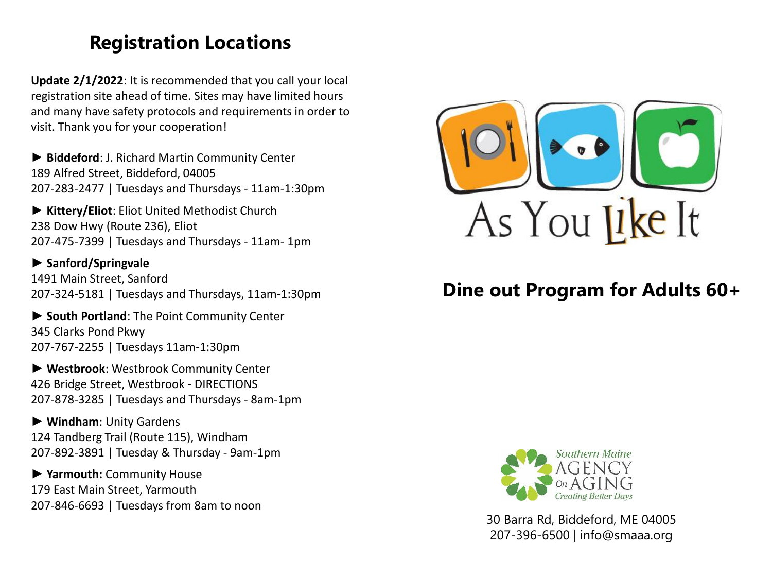# **Registration Locations**

**Update 2/1/2022**: It is recommended that you call your local registration site ahead of time. Sites may have limited hours and many have safety protocols and requirements in order to visit. Thank you for your cooperation!

► **Biddeford**: J. Richard Martin Community Center 189 Alfred Street, Biddeford, 04005 207-283-2477 | Tuesdays and Thursdays - 11am-1:30pm

**► Kittery/Eliot**: Eliot United Methodist Church 238 Dow Hwy (Route 236), Eliot 207-475-7399 | Tuesdays and Thursdays - 11am- 1pm

► **Sanford/Springvale** 1491 Main Street, Sanford 207-324-5181 | Tuesdays and Thursdays, 11am-1:30pm

► **South Portland**: The Point Community Center 345 Clarks Pond Pkwy 207-767-2255 | Tuesdays 11am-1:30pm

► **Westbrook**: Westbrook Community Center 426 Bridge Street, Westbrook - DIRECTIONS 207-878-3285 | Tuesdays and Thursdays - 8am-1pm

► **Windham**: Unity Gardens 124 Tandberg Trail (Route 115), Windham 207-892-3891 | Tuesday & Thursday - 9am-1pm

► **Yarmouth:** Community House 179 East Main Street, Yarmouth 207-846-6693 | Tuesdays from 8am to noon



# **Dine out Program for Adults 60+**



30 Barra Rd, Biddeford, ME 04005 207-396-6500 | info@smaaa.org